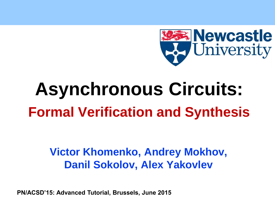

# **Asynchronous Circuits: Formal Verification and Synthesis**

#### **Victor Khomenko, Andrey Mokhov, Danil Sokolov, Alex Yakovlev**

**PN/ACSD'15: Advanced Tutorial, Brussels, June 2015**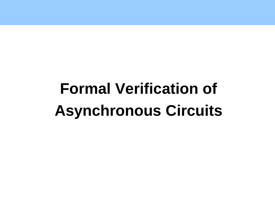# **Formal Verification of Asynchronous Circuits**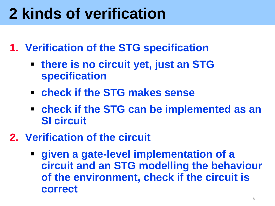## **2 kinds of verification**

- **1. Verification of the STG specification**
	- **there is no circuit yet, just an STG specification**
	- **check if the STG makes sense**
	- **check if the STG can be implemented as an SI circuit**
- **2. Verification of the circuit**
	- **given a gate-level implementation of a circuit and an STG modelling the behaviour of the environment, check if the circuit is correct**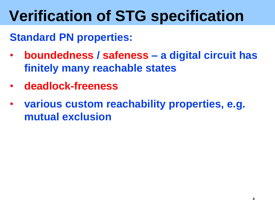#### **Standard PN properties:**

- **boundedness / safeness – a digital circuit has finitely many reachable states**
- **deadlock-freeness**
- **various custom reachability properties, e.g. mutual exclusion**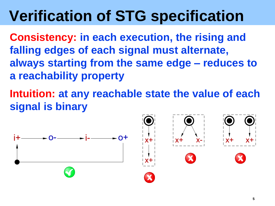**Consistency: in each execution, the rising and falling edges of each signal must alternate, always starting from the same edge – reduces to a reachability property**

**Intuition: at any reachable state the value of each signal is binary**



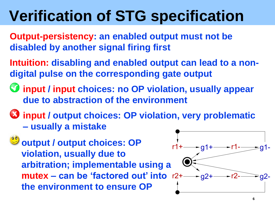- **Output-persistency: an enabled output must not be disabled by another signal firing first**
- **Intuition: disabling and enabled output can lead to a nondigital pulse on the corresponding gate output**
- **input / input choices: no OP violation, usually appear due to abstraction of the environment**
- **input / output choices: OP violation, very problematic – usually a mistake**
	- **output / output choices: OP violation, usually due to arbitration; implementable using a mutex** – can be 'factored out' into  $r2 +$  –  $g2 +$ **the environment to ensure OP**

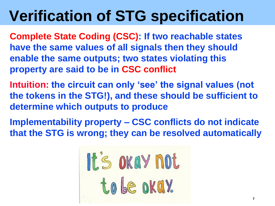**Complete State Coding (CSC): If two reachable states have the same values of all signals then they should enable the same outputs; two states violating this property are said to be in CSC conflict**

- **Intuition: the circuit can only 'see' the signal values (not the tokens in the STG!), and these should be sufficient to determine which outputs to produce**
- **Implementability property – CSC conflicts do not indicate that the STG is wrong; they can be resolved automatically**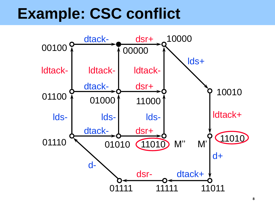#### **Example: CSC conflict**

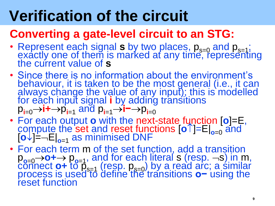# **Verification of the circuit**

#### **Converting a gate-level circuit to an STG:**

- Represent each signal  $s$  by two places,  $p_{s=0}$  and  $p_{s=1}$ ; exactly one of them is marked at any time, representing the current value of **s**
- Since there is no information about the environment's behaviour, it is taken to be the most general (i.e., it can always change the value of any input); this is modelled for each input signal **i** by adding transitions  $p_{i=0}$  → **i** + →  $p_{i=1}$  and  $p_{i=1}$  → i – →  $p_{i=0}$
- For each output **o** with the next-state function  $[0]$ =E, compute the set and reset functions  $\left[\mathbf{0}^{\uparrow}\right]=E\right]_{\mathbf{0}=0}$  and  $\left[\mathbf{o}\downarrow\right]=-\mathsf{E}\right|_{\mathbf{o}=1}$  as minimised DNF
- For each term m of the set function, add a transition p**o**=0**o+** p**o**=1, and for each literal s (resp. s) in m,  $\overline{\text{com}}$  **o-**  $\overline{\text{cosh}}$   $\overline{\text{cosh}}$  (resp.  $\overline{\text{p}}_{\text{s=0}}$ ) by a read arc; a similar process is used to define the transitions **o**− using the reset function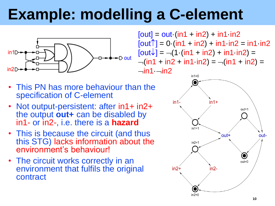# **Example: modelling a C-element**



 $[out] = out (in1 + in2) + in1 in2$  $[out^{\uparrow}] = 0$  (in1 + in2) + in1 in2 = in1 in2  $[out\downarrow] = -(1 \cdot (in1 + in2) + in1 \cdot in2) =$  $-(in1 + in2 + in1 in2) = -(in1 + in2) =$  $-$ in1 $-$ in2

- This PN has more behaviour than the specification of C-element
- Not output-persistent: after in1+ in2+ the output **out+** can be disabled by in1- or in2-, i.e. there is a **hazard**
- This is because the circuit (and thus this STG) lacks information about the environment's behaviour!
- The circuit works correctly in an environment that fulfils the original contract

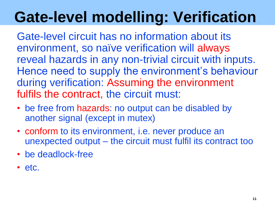# **Gate-level modelling: Verification**

Gate-level circuit has no information about its environment, so naïve verification will always reveal hazards in any non-trivial circuit with inputs. Hence need to supply the environment's behaviour during verification: Assuming the environment fulfils the contract, the circuit must:

- be free from hazards: no output can be disabled by another signal (except in mutex)
- conform to its environment, i.e. never produce an unexpected output – the circuit must fulfil its contract too
- be deadlock-free
- etc.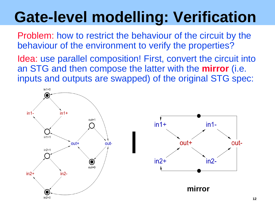## **Gate-level modelling: Verification**

Problem: how to restrict the behaviour of the circuit by the behaviour of the environment to verify the properties?

Idea: use parallel composition! First, convert the circuit into an STG and then compose the latter with the **mirror** (i.e. inputs and outputs are swapped) of the original STG spec:

**|**



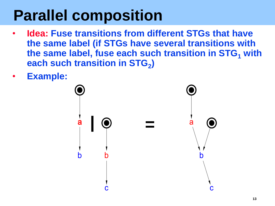## **Parallel composition**

- **Idea: Fuse transitions from different STGs that have the same label (if STGs have several transitions with the same label, fuse each such transition in STG<sup>1</sup> with each such transition in STG<sup>2</sup> )**
- **Example:**

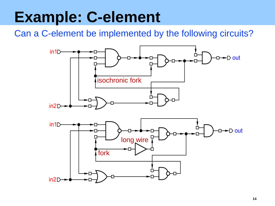## **Example: C-element**

Can a C-element be implemented by the following circuits?

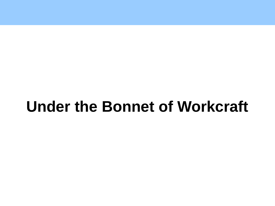### **Under the Bonnet of Workcraft**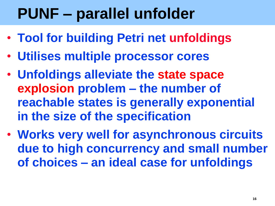## **PUNF – parallel unfolder**

- **Tool for building Petri net unfoldings**
- **Utilises multiple processor cores**
- **Unfoldings alleviate the state space explosion problem – the number of reachable states is generally exponential in the size of the specification**
- **Works very well for asynchronous circuits due to high concurrency and small number of choices – an ideal case for unfoldings**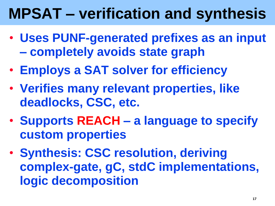## **MPSAT – verification and synthesis**

- **Uses PUNF-generated prefixes as an input – completely avoids state graph**
- **Employs a SAT solver for efficiency**
- **Verifies many relevant properties, like deadlocks, CSC, etc.**
- **Supports REACH – a language to specify custom properties**
- **Synthesis: CSC resolution, deriving complex-gate, gC, stdC implementations, logic decomposition**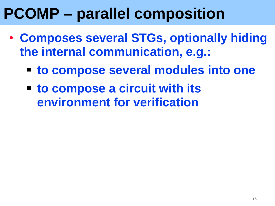## **PCOMP – parallel composition**

- **Composes several STGs, optionally hiding the internal communication, e.g.:**
	- **to compose several modules into one**
	- **to compose a circuit with its environment for verification**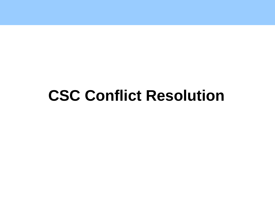#### **CSC Conflict Resolution**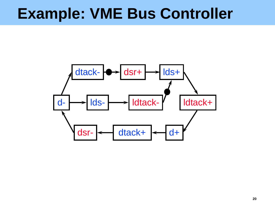#### **Example: VME Bus Controller**

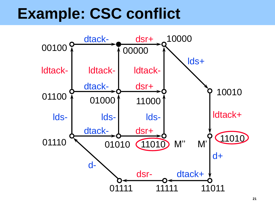#### **Example: CSC conflict**

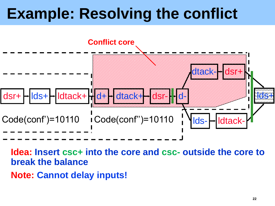

**Idea: Insert csc+ into the core and csc- outside the core to break the balance**

**Note: Cannot delay inputs!**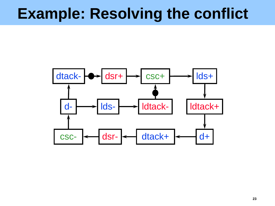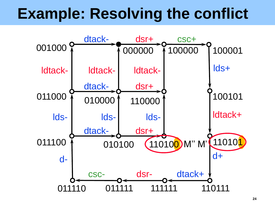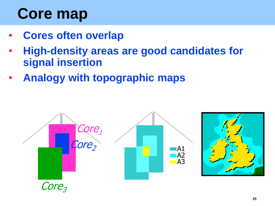# **Core map**

- **Cores often overlap**
- **High-density areas are good candidates for signal insertion**
- **Analogy with topographic maps**

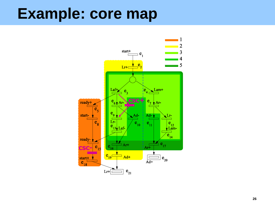#### **Example: core map**

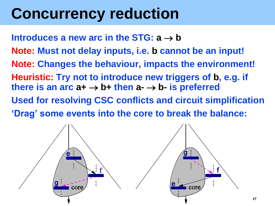## **Concurrency reduction**

**Introduces a new arc in the STG:**  $a \rightarrow b$ **Note: Must not delay inputs, i.e. b cannot be an input! Note: Changes the behaviour, impacts the environment! Heuristic: Try not to introduce new triggers of b, e.g. if there is an arc**  $a + \rightarrow b +$  **then**  $a - \rightarrow b -$  **is preferred Used for resolving CSC conflicts and circuit simplification 'Drag' some events into the core to break the balance:**

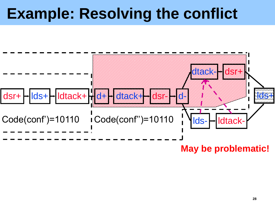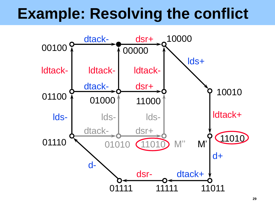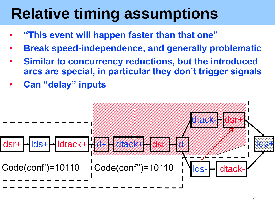## **Relative timing assumptions**

- **"This event will happen faster than that one"**
- **Break speed-independence, and generally problematic**
- **Similar to concurrency reductions, but the introduced arcs are special, in particular they don't trigger signals**
- **Can "delay" inputs**

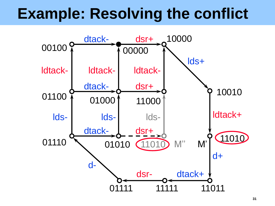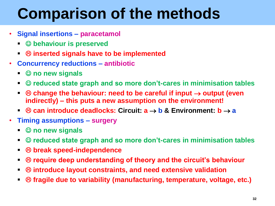## **Comparison of the methods**

- **Signal insertions – paracetamol**
	- **behaviour is preserved**
	- **inserted signals have to be implemented**
- **Concurrency reductions – antibiotic**
	- © no new signals
	- **© reduced state graph and so more don't-cares in minimisation tables**
	- **c**  $\odot$  change the behaviour: need to be careful if input  $\rightarrow$  output (even **indirectly) – this puts a new assumption on the environment!**
	- **can introduce deadlocks: Circuit:**  $a \rightarrow b$  **& Environment:**  $b \rightarrow a$
- **Timing assumptions – surgery**
	- © no new signals
	- **© reduced state graph and so more don't-cares in minimisation tables**
	- **break speed-independence**
	- $\otimes$  **require deep understanding of theory and the circuit's behaviour**
	- **introduce layout constraints, and need extensive validation**
	- **fragile due to variability (manufacturing, temperature, voltage, etc.)**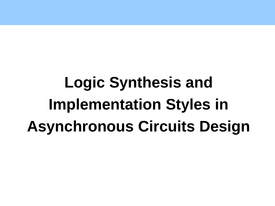**Logic Synthesis and Implementation Styles in Asynchronous Circuits Design**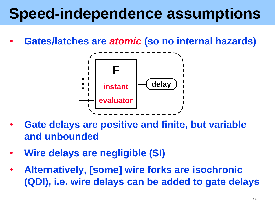## **Speed-independence assumptions**

• **Gates/latches are** *atomic* **(so no internal hazards)**



- **Gate delays are positive and finite, but variable and unbounded**
- **Wire delays are negligible (SI)**
- **Alternatively, [some] wire forks are isochronic (QDI), i.e. wire delays can be added to gate delays**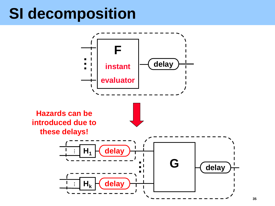#### **SI decomposition**

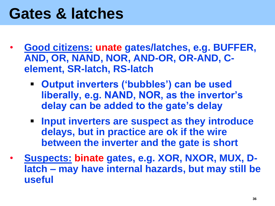#### **Gates & latches**

- **Good citizens: unate gates/latches, e.g. BUFFER, AND, OR, NAND, NOR, AND-OR, OR-AND, Celement, SR-latch, RS-latch**
	- **Output inverters ('bubbles') can be used liberally, e.g. NAND, NOR, as the invertor's delay can be added to the gate's delay**
	- **Input inverters are suspect as they introduce delays, but in practice are ok if the wire between the inverter and the gate is short**
- **Suspects: binate gates, e.g. XOR, NXOR, MUX, Dlatch – may have internal hazards, but may still be useful**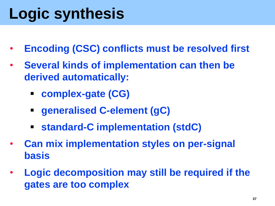# **Logic synthesis**

- **Encoding (CSC) conflicts must be resolved first**
- **Several kinds of implementation can then be derived automatically:**
	- **complex-gate (CG)**
	- **generalised C-element (gC)**
	- **standard-C implementation (stdC)**
- **Can mix implementation styles on per-signal basis**
- **Logic decomposition may still be required if the gates are too complex**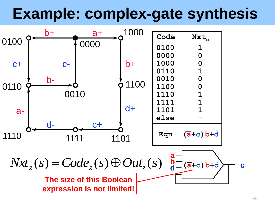## **Example: complex-gate synthesis**

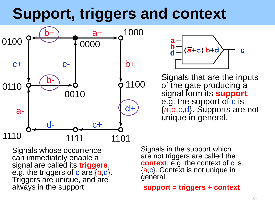## **Support, triggers and context**





Signals that are the inputs of the gate producing a signal form its **support**, e.g. the support of c is {a,b,c,d}. Supports are not unique in general.

Signals whose occurrence can immediately enable a signal are called its **triggers**, e.g. the triggers of c are {b,d}. Triggers are unique, and are always in the support.

Signals in the support which are not triggers are called the **context**, e.g. the context of c is {a,c}. Context is not unique in general.

**support = triggers + context**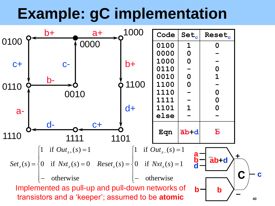## **Example: gC implementation**

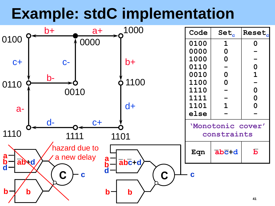## **Example: stdC implementation**